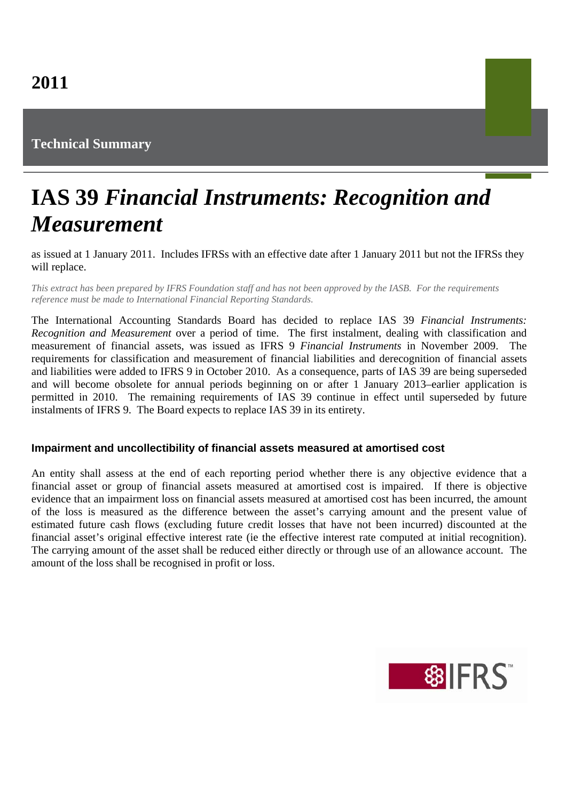## **Technical Summary**

## **IAS 39** *Financial Instruments: Recognition and Measurement*

as issued at 1 January 2011. Includes IFRSs with an effective date after 1 January 2011 but not the IFRSs they will replace.

*This extract has been prepared by IFRS Foundation staff and has not been approved by the IASB. For the requirements reference must be made to International Financial Reporting Standards.*

The International Accounting Standards Board has decided to replace IAS 39 *Financial Instruments: Recognition and Measurement* over a period of time. The first instalment, dealing with classification and measurement of financial assets, was issued as IFRS 9 *Financial Instruments* in November 2009. The requirements for classification and measurement of financial liabilities and derecognition of financial assets and liabilities were added to IFRS 9 in October 2010. As a consequence, parts of IAS 39 are being superseded and will become obsolete for annual periods beginning on or after 1 January 2013–earlier application is permitted in 2010. The remaining requirements of IAS 39 continue in effect until superseded by future instalments of IFRS 9. The Board expects to replace IAS 39 in its entirety.

## **Impairment and uncollectibility of financial assets measured at amortised cost**

An entity shall assess at the end of each reporting period whether there is any objective evidence that a financial asset or group of financial assets measured at amortised cost is impaired. If there is objective evidence that an impairment loss on financial assets measured at amortised cost has been incurred, the amount of the loss is measured as the difference between the asset's carrying amount and the present value of estimated future cash flows (excluding future credit losses that have not been incurred) discounted at the financial asset's original effective interest rate (ie the effective interest rate computed at initial recognition). The carrying amount of the asset shall be reduced either directly or through use of an allowance account. The amount of the loss shall be recognised in profit or loss.

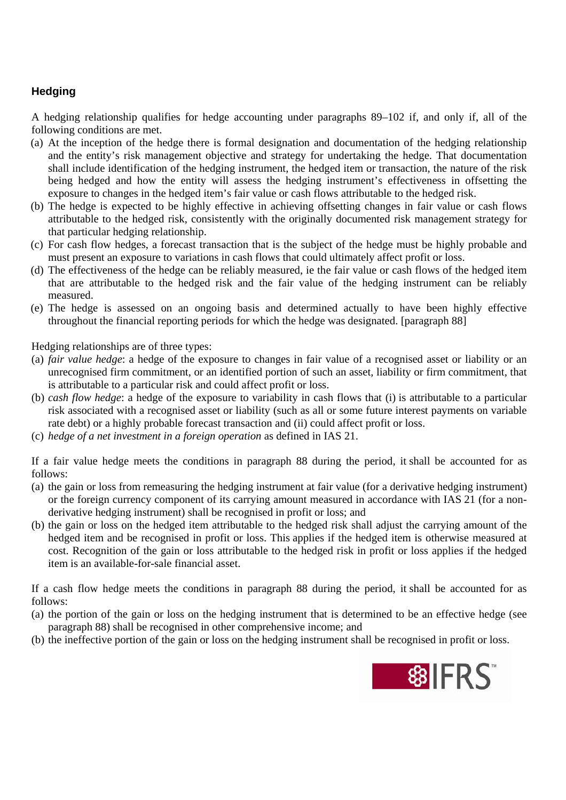## **Hedging**

A hedging relationship qualifies for hedge accounting under paragraphs 89–102 if, and only if, all of the following conditions are met.

- (a) At the inception of the hedge there is formal designation and documentation of the hedging relationship and the entity's risk management objective and strategy for undertaking the hedge. That documentation shall include identification of the hedging instrument, the hedged item or transaction, the nature of the risk being hedged and how the entity will assess the hedging instrument's effectiveness in offsetting the exposure to changes in the hedged item's fair value or cash flows attributable to the hedged risk.
- (b) The hedge is expected to be highly effective in achieving offsetting changes in fair value or cash flows attributable to the hedged risk, consistently with the originally documented risk management strategy for that particular hedging relationship.
- (c) For cash flow hedges, a forecast transaction that is the subject of the hedge must be highly probable and must present an exposure to variations in cash flows that could ultimately affect profit or loss.
- (d) The effectiveness of the hedge can be reliably measured, ie the fair value or cash flows of the hedged item that are attributable to the hedged risk and the fair value of the hedging instrument can be reliably measured.
- (e) The hedge is assessed on an ongoing basis and determined actually to have been highly effective throughout the financial reporting periods for which the hedge was designated. [paragraph 88]

Hedging relationships are of three types:

- (a) *fair value hedge*: a hedge of the exposure to changes in fair value of a recognised asset or liability or an unrecognised firm commitment, or an identified portion of such an asset, liability or firm commitment, that is attributable to a particular risk and could affect profit or loss.
- (b) *cash flow hedge*: a hedge of the exposure to variability in cash flows that (i) is attributable to a particular risk associated with a recognised asset or liability (such as all or some future interest payments on variable rate debt) or a highly probable forecast transaction and (ii) could affect profit or loss.
- (c) *hedge of a net investment in a foreign operation* as defined in IAS 21.

If a fair value hedge meets the conditions in paragraph 88 during the period, it shall be accounted for as follows:

- (a) the gain or loss from remeasuring the hedging instrument at fair value (for a derivative hedging instrument) or the foreign currency component of its carrying amount measured in accordance with IAS 21 (for a nonderivative hedging instrument) shall be recognised in profit or loss; and
- (b) the gain or loss on the hedged item attributable to the hedged risk shall adjust the carrying amount of the hedged item and be recognised in profit or loss. This applies if the hedged item is otherwise measured at cost. Recognition of the gain or loss attributable to the hedged risk in profit or loss applies if the hedged item is an available-for-sale financial asset.

If a cash flow hedge meets the conditions in paragraph 88 during the period, it shall be accounted for as follows:

- (a) the portion of the gain or loss on the hedging instrument that is determined to be an effective hedge (see paragraph 88) shall be recognised in other comprehensive income; and
- (b) the ineffective portion of the gain or loss on the hedging instrument shall be recognised in profit or loss.